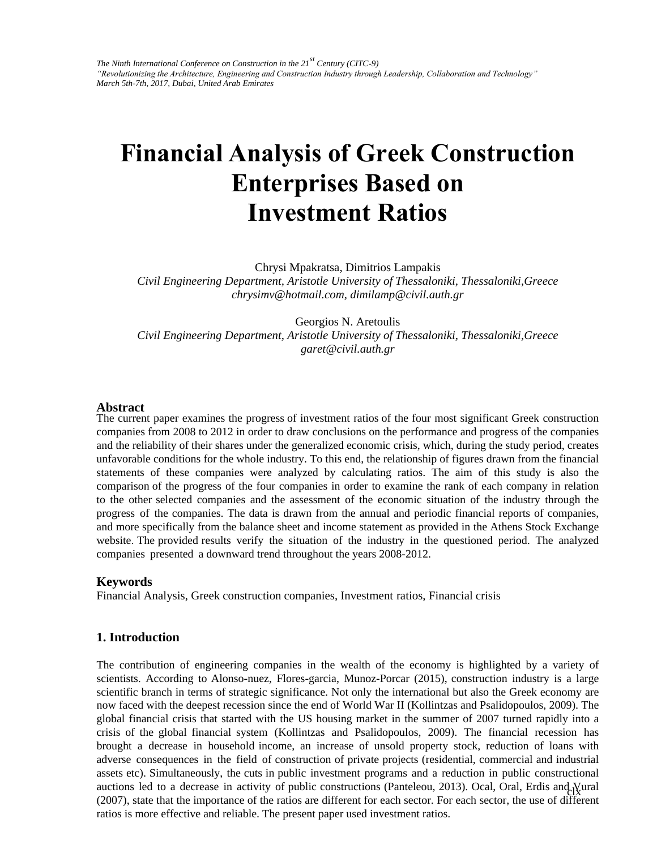# **Financial Analysis of Greek Construction Enterprises Based on Investment Ratios**

Chrysi Mpakratsa, Dimitrios Lampakis

*Civil Engineering Department, Aristotle University of Thessaloniki, Thessaloniki,Greece chrysimv@hotmail.com, dimilamp@civil.auth.gr* 

Georgios N. Aretoulis *Civil Engineering Department, Aristotle University of Thessaloniki, Thessaloniki,Greece garet@civil.auth.gr* 

#### **Abstract**

The current paper examines the progress of investment ratios of the four most significant Greek construction companies from 2008 to 2012 in order to draw conclusions on the performance and progress of the companies and the reliability of their shares under the generalized economic crisis, which, during the study period, creates unfavorable conditions for the whole industry. To this end, the relationship of figures drawn from the financial statements of these companies were analyzed by calculating ratios. The aim of this study is also the comparison of the progress of the four companies in order to examine the rank of each company in relation to the other selected companies and the assessment of the economic situation of the industry through the progress of the companies. The data is drawn from the annual and periodic financial reports of companies, and more specifically from the balance sheet and income statement as provided in the Athens Stock Exchange website. The provided results verify the situation of the industry in the questioned period. The analyzed companies presented a downward trend throughout the years 2008-2012.

#### **Keywords**

Financial Analysis, Greek construction companies, Investment ratios, Financial crisis

#### **1. Introduction**

auctions led to a decrease in activity of public constructions (Panteleou, 2013). Ocal, Oral, Erdis and Vural (2007), state that the importance of the ratios are different for each sector. For each sector, the use of different The contribution of engineering companies in the wealth of the economy is highlighted by a variety of scientists. According to Alonso-nuez, Flores-garcia, Munoz-Porcar (2015), construction industry is a large scientific branch in terms of strategic significance. Not only the international but also the Greek economy are now faced with the deepest recession since the end of World War II (Kollintzas and Psalidopoulos, 2009). The global financial crisis that started with the US housing market in the summer of 2007 turned rapidly into a crisis of the global financial system (Kollintzas and Psalidopoulos, 2009). The financial recession has brought a decrease in household income, an increase of unsold property stock, reduction of loans with adverse consequences in the field of construction of private projects (residential, commercial and industrial assets etc). Simultaneously, the cuts in public investment programs and a reduction in public constructional ratios is more effective and reliable. The present paper used investment ratios.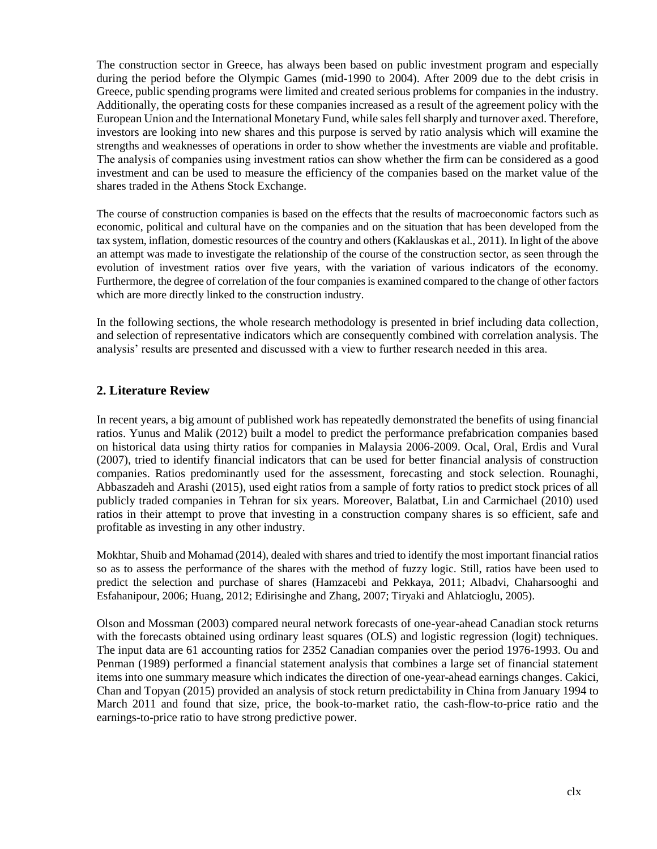The construction sector in Greece, has always been based on public investment program and especially during the period before the Olympic Games (mid-1990 to 2004). After 2009 due to the debt crisis in Greece, public spending programs were limited and created serious problems for companies in the industry. Additionally, the operating costs for these companies increased as a result of the agreement policy with the European Union and the International Monetary Fund, while sales fell sharply and turnover axed. Therefore, investors are looking into new shares and this purpose is served by ratio analysis which will examine the strengths and weaknesses of operations in order to show whether the investments are viable and profitable. Τhe analysis of companies using investment ratios can show whether the firm can be considered as a good investment and can be used to measure the efficiency of the companies based on the market value of the shares traded in the Athens Stock Exchange.

The course of construction companies is based on the effects that the results of macroeconomic factors such as economic, political and cultural have on the companies and on the situation that has been developed from the tax system, inflation, domestic resources of the country and others (Kaklauskas et al., 2011). In light of the above an attempt was made to investigate the relationship of the course of the construction sector, as seen through the evolution of investment ratios over five years, with the variation of various indicators of the economy. Furthermore, the degree of correlation of the four companies is examined compared to the change of other factors which are more directly linked to the construction industry.

In the following sections, the whole research methodology is presented in brief including data collection, and selection of representative indicators which are consequently combined with correlation analysis. The analysis' results are presented and discussed with a view to further research needed in this area.

# **2. Literature Review**

In recent years, a big amount of published work has repeatedly demonstrated the benefits of using financial ratios. Yunus and Malik (2012) built a model to predict the performance prefabrication companies based on historical data using thirty ratios for companies in Malaysia 2006-2009. Ocal, Oral, Erdis and Vural (2007), tried to identify financial indicators that can be used for better financial analysis of construction companies. Ratios predominantly used for the assessment, forecasting and stock selection. Rounaghi, Abbaszadeh and Arashi (2015), used eight ratios from a sample of forty ratios to predict stock prices of all publicly traded companies in Tehran for six years. Moreover, Balatbat, Lin and Carmichael (2010) used ratios in their attempt to prove that investing in a construction company shares is so efficient, safe and profitable as investing in any other industry.

Mokhtar, Shuib and Mohamad (2014), dealed with shares and tried to identify the most important financial ratios so as to assess the performance of the shares with the method of fuzzy logic. Still, ratios have been used to predict the selection and purchase of shares (Hamzacebi and Pekkaya, 2011; Albadvi, Chaharsooghi and Esfahanipour, 2006; Huang, 2012; Edirisinghe and Zhang, 2007; Tiryaki and Ahlatcioglu, 2005).

Olson and Mossman (2003) compared neural network forecasts of one-year-ahead Canadian stock returns with the forecasts obtained using ordinary least squares (OLS) and logistic regression (logit) techniques. The input data are 61 accounting ratios for 2352 Canadian companies over the period 1976-1993. Ou and Penman (1989) performed a financial statement analysis that combines a large set of financial statement items into one summary measure which indicates the direction of one-year-ahead earnings changes. Cakici, Chan and Topyan (2015) provided an analysis of stock return predictability in China from January 1994 to March 2011 and found that size, price, the book-to-market ratio, the cash-flow-to-price ratio and the earnings-to-price ratio to have strong predictive power.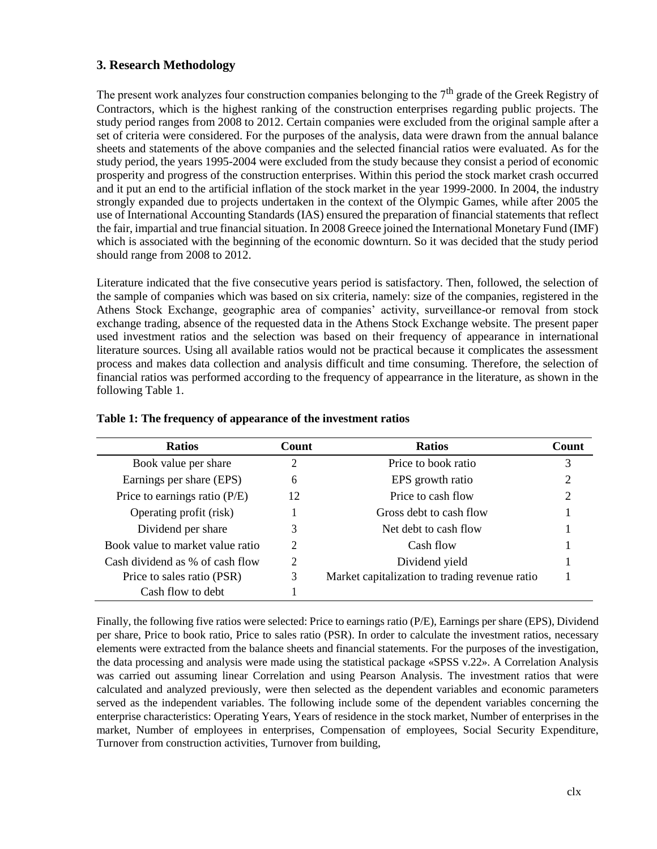# **3. Research Methodology**

The present work analyzes four construction companies belonging to the  $7<sup>th</sup>$  grade of the Greek Registry of Contractors, which is the highest ranking of the construction enterprises regarding public projects. The study period ranges from 2008 to 2012. Certain companies were excluded from the original sample after a set of criteria were considered. For the purposes of the analysis, data were drawn from the annual balance sheets and statements of the above companies and the selected financial ratios were evaluated. As for the study period, the years 1995-2004 were excluded from the study because they consist a period of economic prosperity and progress of the construction enterprises. Within this period the stock market crash occurred and it put an end to the artificial inflation of the stock market in the year 1999-2000. In 2004, the industry strongly expanded due to projects undertaken in the context of the Olympic Games, while after 2005 the use of International Accounting Standards (IAS) ensured the preparation of financial statements that reflect the fair, impartial and true financial situation. In 2008 Greece joined the International Monetary Fund (IMF) which is associated with the beginning of the economic downturn. So it was decided that the study period should range from 2008 to 2012.

Literature indicated that the five consecutive years period is satisfactory. Then, followed, the selection of the sample of companies which was based on six criteria, namely: size of the companies, registered in the Athens Stock Exchange, geographic area of companies' activity, surveillance-or removal from stock exchange trading, absence of the requested data in the Athens Stock Exchange website. The present paper used investment ratios and the selection was based on their frequency of appearance in international literature sources. Using all available ratios would not be practical because it complicates the assessment process and makes data collection and analysis difficult and time consuming. Therefore, the selection of financial ratios was performed according to the frequency of appearrance in the literature, as shown in the following Table 1.

| <b>Ratios</b>                    | Count | <b>Ratios</b>                                  | Count |
|----------------------------------|-------|------------------------------------------------|-------|
| Book value per share             | າ     | Price to book ratio                            |       |
| Earnings per share (EPS)         | 6     | EPS growth ratio                               | 2     |
| Price to earnings ratio $(P/E)$  | 12    | Price to cash flow                             | 2     |
| Operating profit (risk)          |       | Gross debt to cash flow                        |       |
| Dividend per share               |       | Net debt to cash flow                          |       |
| Book value to market value ratio | 2     | Cash flow                                      |       |
| Cash dividend as % of cash flow  | ↑     | Dividend yield                                 |       |
| Price to sales ratio (PSR)       |       | Market capitalization to trading revenue ratio |       |
| Cash flow to debt                |       |                                                |       |

### **Table 1: The frequency of appearance of the investment ratios**

Finally, the following five ratios were selected: Price to earnings ratio (P/E), Earnings per share (EPS), Dividend per share, Price to book ratio, Price to sales ratio (PSR). In order to calculate the investment ratios, necessary elements were extracted from the balance sheets and financial statements. For the purposes of the investigation, the data processing and analysis were made using the statistical package «SPSS v.22». A Correlation Analysis was carried out assuming linear Correlation and using Pearson Analysis. The investment ratios that were calculated and analyzed previously, were then selected as the dependent variables and economic parameters served as the independent variables. The following include some of the dependent variables concerning the enterprise characteristics: Operating Years, Years of residence in the stock market, Number of enterprises in the market, Number of employees in enterprises, Compensation of employees, Social Security Expenditure, Turnover from construction activities, Turnover from building,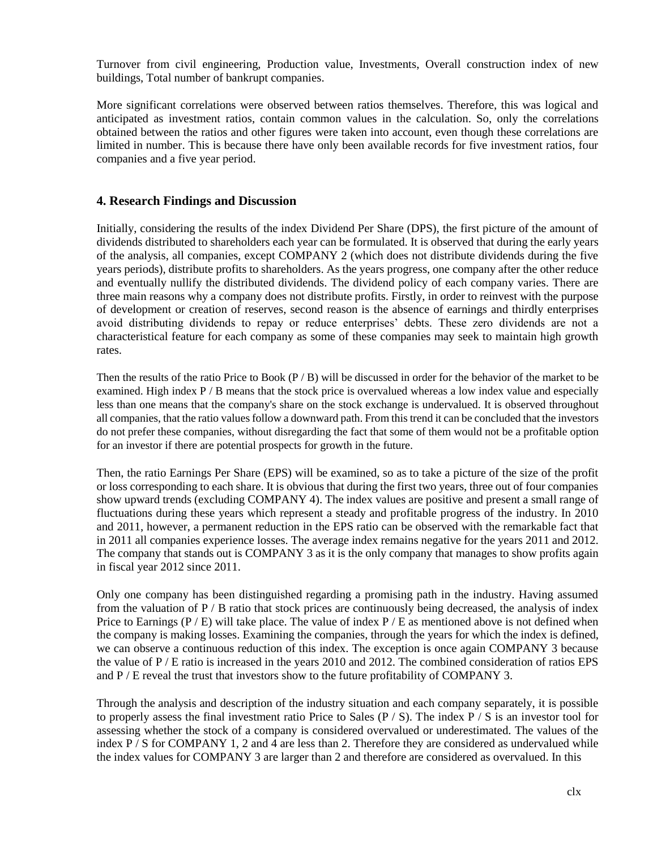Turnover from civil engineering, Production value, Investments, Overall construction index of new buildings, Total number of bankrupt companies.

More significant correlations were observed between ratios themselves. Therefore, this was logical and anticipated as investment ratios, contain common values in the calculation. So, only the correlations obtained between the ratios and other figures were taken into account, even though these correlations are limited in number. This is because there have only been available records for five investment ratios, four companies and a five year period.

## **4. Research Findings and Discussion**

Initially, considering the results of the index Dividend Per Share (DPS), the first picture of the amount of dividends distributed to shareholders each year can be formulated. It is observed that during the early years of the analysis, all companies, except COMPANY 2 (which does not distribute dividends during the five years periods), distribute profits to shareholders. As the years progress, one company after the other reduce and eventually nullify the distributed dividends. The dividend policy of each company varies. There are three main reasons why a company does not distribute profits. Firstly, in order to reinvest with the purpose of development or creation of reserves, second reason is the absence of earnings and thirdly enterprises avoid distributing dividends to repay or reduce enterprises' debts. These zero dividends are not a characteristical feature for each company as some of these companies may seek to maintain high growth rates.

Then the results of the ratio Price to Book  $(P / B)$  will be discussed in order for the behavior of the market to be examined. High index P / B means that the stock price is overvalued whereas a low index value and especially less than one means that the company's share on the stock exchange is undervalued. It is observed throughout all companies, that the ratio values follow a downward path. From this trend it can be concluded that the investors do not prefer these companies, without disregarding the fact that some of them would not be a profitable option for an investor if there are potential prospects for growth in the future.

Then, the ratio Earnings Per Share (EPS) will be examined, so as to take a picture of the size of the profit or loss corresponding to each share. It is obvious that during the first two years, three out of four companies show upward trends (excluding COMPANY 4). The index values are positive and present a small range of fluctuations during these years which represent a steady and profitable progress of the industry. In 2010 and 2011, however, a permanent reduction in the EPS ratio can be observed with the remarkable fact that in 2011 all companies experience losses. The average index remains negative for the years 2011 and 2012. The company that stands out is COMPANY 3 as it is the only company that manages to show profits again in fiscal year 2012 since 2011.

Only one company has been distinguished regarding a promising path in the industry. Having assumed from the valuation of  $P / B$  ratio that stock prices are continuously being decreased, the analysis of index Price to Earnings  $(P / E)$  will take place. The value of index  $P / E$  as mentioned above is not defined when the company is making losses. Examining the companies, through the years for which the index is defined, we can observe a continuous reduction of this index. The exception is once again COMPANY 3 because the value of P / E ratio is increased in the years 2010 and 2012. The combined consideration of ratios EPS and  $P / E$  reveal the trust that investors show to the future profitability of COMPANY 3.

Through the analysis and description of the industry situation and each company separately, it is possible to properly assess the final investment ratio Price to Sales  $(P / S)$ . The index P  $/S$  is an investor tool for assessing whether the stock of a company is considered overvalued or underestimated. The values of the index P / S for COMPANY 1, 2 and 4 are less than 2. Therefore they are considered as undervalued while the index values for COMPANY 3 are larger than 2 and therefore are considered as overvalued. In this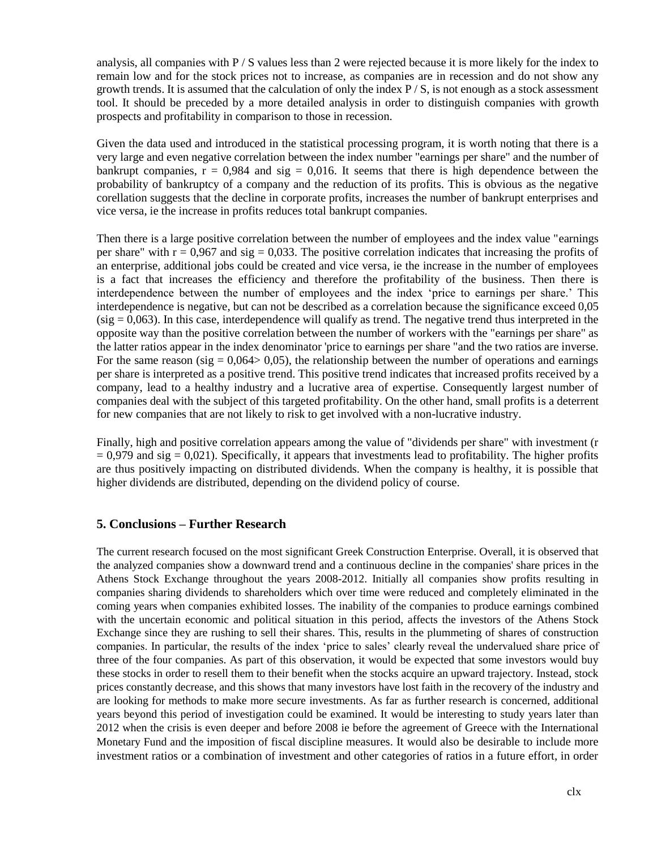analysis, all companies with  $P / S$  values less than 2 were rejected because it is more likely for the index to remain low and for the stock prices not to increase, as companies are in recession and do not show any growth trends. It is assumed that the calculation of only the index  $P/S$ , is not enough as a stock assessment tool. It should be preceded by a more detailed analysis in order to distinguish companies with growth prospects and profitability in comparison to those in recession.

Given the data used and introduced in the statistical processing program, it is worth noting that there is a very large and even negative correlation between the index number "earnings per share" and the number of bankrupt companies,  $r = 0.984$  and sig = 0.016. It seems that there is high dependence between the probability of bankruptcy of a company and the reduction of its profits. This is obvious as the negative corellation suggests that the decline in corporate profits, increases the number of bankrupt enterprises and vice versa, ie the increase in profits reduces total bankrupt companies.

Then there is a large positive correlation between the number of employees and the index value "earnings per share" with  $r = 0.967$  and sig = 0.033. The positive correlation indicates that increasing the profits of an enterprise, additional jobs could be created and vice versa, ie the increase in the number of employees is a fact that increases the efficiency and therefore the profitability of the business. Then there is interdependence between the number of employees and the index 'price to earnings per share.' This interdependence is negative, but can not be described as a correlation because the significance exceed 0,05  $(sig = 0.063)$ . In this case, interdependence will qualify as trend. The negative trend thus interpreted in the opposite way than the positive correlation between the number of workers with the "earnings per share" as the latter ratios appear in the index denominator 'price to earnings per share "and the two ratios are inverse. For the same reason (sig =  $0.064 > 0.05$ ), the relationship between the number of operations and earnings per share is interpreted as a positive trend. This positive trend indicates that increased profits received by a company, lead to a healthy industry and a lucrative area of expertise. Consequently largest number of companies deal with the subject of this targeted profitability. On the other hand, small profits is a deterrent for new companies that are not likely to risk to get involved with a non-lucrative industry.

Finally, high and positive correlation appears among the value of "dividends per share" with investment (r  $= 0.979$  and sig  $= 0.021$ ). Specifically, it appears that investments lead to profitability. The higher profits are thus positively impacting on distributed dividends. When the company is healthy, it is possible that higher dividends are distributed, depending on the dividend policy of course.

## **5. Conclusions – Further Research**

The current research focused on the most significant Greek Construction Enterprise. Overall, it is observed that the analyzed companies show a downward trend and a continuous decline in the companies' share prices in the Athens Stock Exchange throughout the years 2008-2012. Initially all companies show profits resulting in companies sharing dividends to shareholders which over time were reduced and completely eliminated in the coming years when companies exhibited losses. The inability of the companies to produce earnings combined with the uncertain economic and political situation in this period, affects the investors of the Athens Stock Exchange since they are rushing to sell their shares. This, results in the plummeting of shares of construction companies. In particular, the results of the index 'price to sales' clearly reveal the undervalued share price of three of the four companies. As part of this observation, it would be expected that some investors would buy these stocks in order to resell them to their benefit when the stocks acquire an upward trajectory. Instead, stock prices constantly decrease, and this shows that many investors have lost faith in the recovery of the industry and are looking for methods to make more secure investments. As far as further research is concerned, additional years beyond this period of investigation could be examined. It would be interesting to study years later than 2012 when the crisis is even deeper and before 2008 ie before the agreement of Greece with the International Monetary Fund and the imposition of fiscal discipline measures. It would also be desirable to include more investment ratios or a combination of investment and other categories of ratios in a future effort, in order